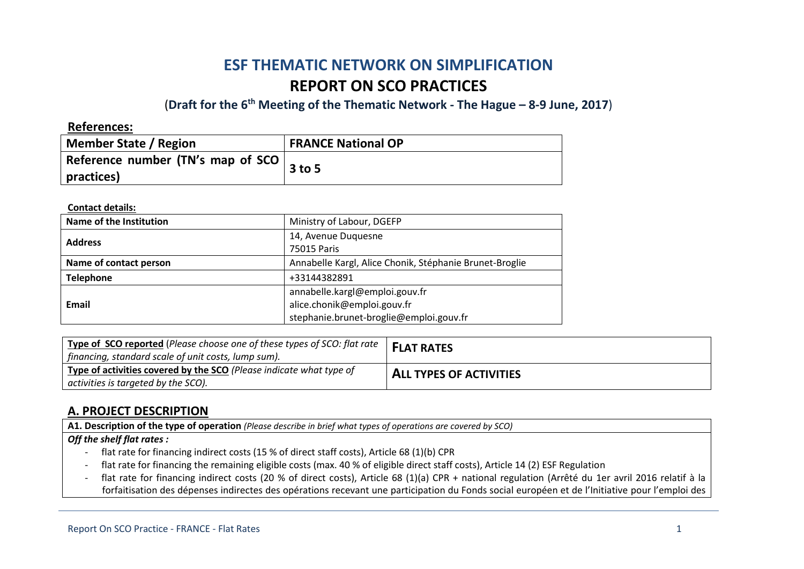# **ESF THEMATIC NETWORK ON SIMPLIFICATION REPORT ON SCO PRACTICES**

(**Draft for the 6th Meeting of the Thematic Network - The Hague – 8-9 June, 2017**)

**References:**

| <b>Member State / Region</b>      | <b>FRANCE National OP</b> |
|-----------------------------------|---------------------------|
| Reference number (TN's map of SCO | $3$ to 5                  |
| practices)                        |                           |

**Contact details:**

| Name of the Institution | Ministry of Labour, DGEFP                                                                                |
|-------------------------|----------------------------------------------------------------------------------------------------------|
| <b>Address</b>          | 14, Avenue Duquesne<br>75015 Paris                                                                       |
| Name of contact person  | Annabelle Kargl, Alice Chonik, Stéphanie Brunet-Broglie                                                  |
| <b>Telephone</b>        | +33144382891                                                                                             |
| <b>Email</b>            | annabelle.kargl@emploi.gouv.fr<br>alice.chonik@emploi.gouv.fr<br>stephanie.brunet-broglie@emploi.gouv.fr |

| Type of SCO reported (Please choose one of these types of SCO: flat rate  <br>  financing, standard scale of unit costs, lump sum). | <b>FLAT RATES</b>              |
|-------------------------------------------------------------------------------------------------------------------------------------|--------------------------------|
| Type of activities covered by the SCO (Please indicate what type of<br>activities is targeted by the SCO).                          | <b>ALL TYPES OF ACTIVITIES</b> |

## **A. PROJECT DESCRIPTION**

**A1. Description of the type of operation** *(Please describe in brief what types of operations are covered by SCO)*

### *Off the shelf flat rates :*

- flat rate for financing indirect costs (15 % of direct staff costs), Article 68 (1)(b) CPR
- flat rate for financing the remaining eligible costs (max. 40 % of eligible direct staff costs), Article 14 (2) ESF Regulation
- flat rate for financing indirect costs (20 % of direct costs), Article 68 (1)(a) CPR + national regulation (Arrêté du 1er avril 2016 relatif à la forfaitisation des dépenses indirectes des opérations recevant une participation du Fonds social européen et de l'Initiative pour l'emploi des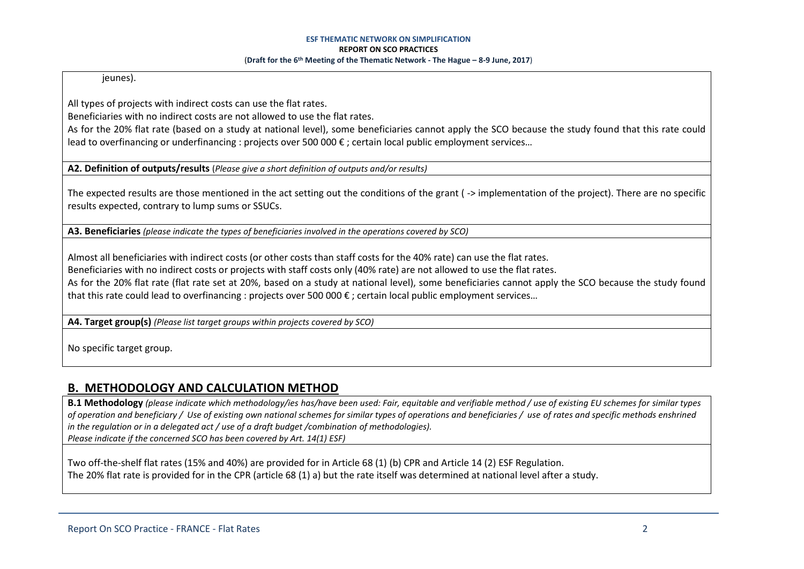jeunes).

All types of projects with indirect costs can use the flat rates.

Beneficiaries with no indirect costs are not allowed to use the flat rates.

As for the 20% flat rate (based on a study at national level), some beneficiaries cannot apply the SCO because the study found that this rate could lead to overfinancing or underfinancing : projects over 500 000 € ; certain local public employment services…

**A2. Definition of outputs/results** (*Please give a short definition of outputs and/or results)*

The expected results are those mentioned in the act setting out the conditions of the grant ( -> implementation of the project). There are no specific results expected, contrary to lump sums or SSUCs.

**A3. Beneficiaries** *(please indicate the types of beneficiaries involved in the operations covered by SCO)*

Almost all beneficiaries with indirect costs (or other costs than staff costs for the 40% rate) can use the flat rates. Beneficiaries with no indirect costs or projects with staff costs only (40% rate) are not allowed to use the flat rates. As for the 20% flat rate (flat rate set at 20%, based on a study at national level), some beneficiaries cannot apply the SCO because the study found that this rate could lead to overfinancing : projects over 500 000 € ; certain local public employment services…

**A4. Target group(s)** *(Please list target groups within projects covered by SCO)*

No specific target group.

## **B. METHODOLOGY AND CALCULATION METHOD**

**B.1 Methodology** *(please indicate which methodology/ies has/have been used: Fair, equitable and verifiable method / use of existing EU schemes for similar types of operation and beneficiary / Use of existing own national schemes for similar types of operations and beneficiaries / use of rates and specific methods enshrined in the regulation or in a delegated act / use of a draft budget /combination of methodologies). Please indicate if the concerned SCO has been covered by Art. 14(1) ESF)*

Two off-the-shelf flat rates (15% and 40%) are provided for in Article 68 (1) (b) CPR and Article 14 (2) ESF Regulation. The 20% flat rate is provided for in the CPR (article 68 (1) a) but the rate itself was determined at national level after a study.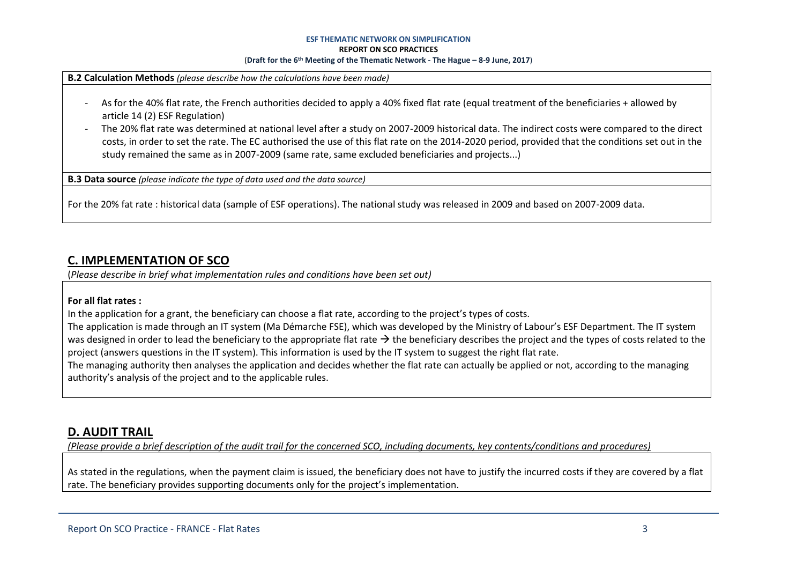### **ESF THEMATIC NETWORK ON SIMPLIFICATION**

#### **REPORT ON SCO PRACTICES**

#### (**Draft for the 6th Meeting of the Thematic Network - The Hague – 8-9 June, 2017**)

**B.2 Calculation Methods** *(please describe how the calculations have been made)*

- As for the 40% flat rate, the French authorities decided to apply a 40% fixed flat rate (equal treatment of the beneficiaries + allowed by article 14 (2) ESF Regulation)
- The 20% flat rate was determined at national level after a study on 2007-2009 historical data. The indirect costs were compared to the direct costs, in order to set the rate. The EC authorised the use of this flat rate on the 2014-2020 period, provided that the conditions set out in the study remained the same as in 2007-2009 (same rate, same excluded beneficiaries and projects...)

**B.3 Data source** *(please indicate the type of data used and the data source)*

For the 20% fat rate : historical data (sample of ESF operations). The national study was released in 2009 and based on 2007-2009 data.

### **C. IMPLEMENTATION OF SCO**

(*Please describe in brief what implementation rules and conditions have been set out)*

### **For all flat rates :**

In the application for a grant, the beneficiary can choose a flat rate, according to the project's types of costs.

The application is made through an IT system (Ma Démarche FSE), which was developed by the Ministry of Labour's ESF Department. The IT system was designed in order to lead the beneficiary to the appropriate flat rate  $\rightarrow$  the beneficiary describes the project and the types of costs related to the project (answers questions in the IT system). This information is used by the IT system to suggest the right flat rate.

The managing authority then analyses the application and decides whether the flat rate can actually be applied or not, according to the managing authority's analysis of the project and to the applicable rules.

### **D. AUDIT TRAIL**

*(Please provide a brief description of the audit trail for the concerned SCO, including documents, key contents/conditions and procedures)*

As stated in the regulations, when the payment claim is issued, the beneficiary does not have to justify the incurred costs if they are covered by a flat rate. The beneficiary provides supporting documents only for the project's implementation.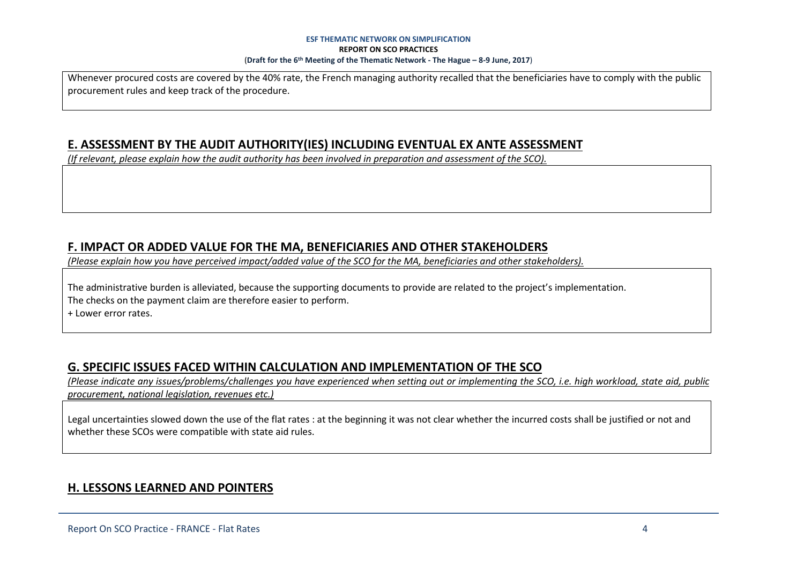#### **ESF THEMATIC NETWORK ON SIMPLIFICATION REPORT ON SCO PRACTICES** (**Draft for the 6th Meeting of the Thematic Network - The Hague – 8-9 June, 2017**)

Whenever procured costs are covered by the 40% rate, the French managing authority recalled that the beneficiaries have to comply with the public procurement rules and keep track of the procedure.

## **E. ASSESSMENT BY THE AUDIT AUTHORITY(IES) INCLUDING EVENTUAL EX ANTE ASSESSMENT**

*(If relevant, please explain how the audit authority has been involved in preparation and assessment of the SCO).* 

### **F. IMPACT OR ADDED VALUE FOR THE MA, BENEFICIARIES AND OTHER STAKEHOLDERS**

*(Please explain how you have perceived impact/added value of the SCO for the MA, beneficiaries and other stakeholders).* 

The administrative burden is alleviated, because the supporting documents to provide are related to the project's implementation. The checks on the payment claim are therefore easier to perform.

+ Lower error rates.

## **G. SPECIFIC ISSUES FACED WITHIN CALCULATION AND IMPLEMENTATION OF THE SCO**

*(Please indicate any issues/problems/challenges you have experienced when setting out or implementing the SCO, i.e. high workload, state aid, public procurement, national legislation, revenues etc.)*

Legal uncertainties slowed down the use of the flat rates : at the beginning it was not clear whether the incurred costs shall be justified or not and whether these SCOs were compatible with state aid rules.

## **H. LESSONS LEARNED AND POINTERS**